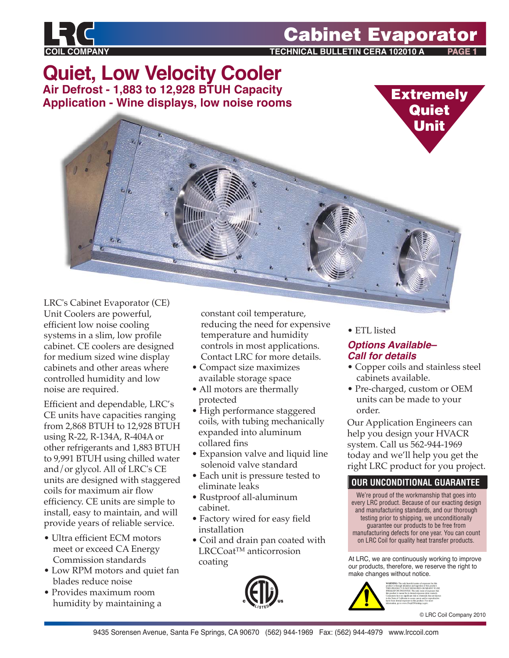

## **Cabinet Evaporator**

**TECHNICAL BULLETIN CERA 102010 A** 

**Quiet, Low Velocity Cooler Air Defrost - 1,883 to 12,928 BTUH Capacity Application - Wine displays, low noise rooms**



LRC's Cabinet Evaporator (CE) Unit Coolers are powerful, efficient low noise cooling systems in a slim, low profile cabinet. CE coolers are designed for medium sized wine display cabinets and other areas where controlled humidity and low noise are required.

Efficient and dependable, LRC's CE units have capacities ranging from 2,868 BTUH to 12,928 BTUH using R-22, R-134A, R-404A or other refrigerants and 1,883 BTUH to 9,991 BTUH using chilled water and/or glycol. All of LRC's CE units are designed with staggered coils for maximum air flow efficiency. CE units are simple to install, easy to maintain, and will provide years of reliable service.

- Ultra efficient ECM motors meet or exceed CA Energy Commission standards
- Low RPM motors and quiet fan blades reduce noise
- Provides maximum room humidity by maintaining a

 constant coil temperature, reducing the need for expensive temperature and humidity controls in most applications. Contact LRC for more details.

- Compact size maximizes available storage space
- All motors are thermally protected
- High performance staggered coils, with tubing mechanically expanded into aluminum collared fins
- Expansion valve and liquid line solenoid valve standard
- Each unit is pressure tested to eliminate leaks
- Rustproof all-aluminum cabinet.
- Factory wired for easy field installation
- Coil and drain pan coated with LRCCoat<sup>™</sup> anticorrosion coating



• ETL listed

#### *Options Available– Call for details*

- Copper coils and stainless steel cabinets available.
- Pre-charged, custom or OEM units can be made to your order.

Our Application Engineers can help you design your HVACR system. Call us 562-944-1969 today and we'll help you get the right LRC product for you project.

### **OUR UNCONDITIONAL GUARANTEE**

We're proud of the workmanship that goes into every LRC product. Because of our exacting design and manufacturing standards, and our thorough testing prior to shipping, we unconditionally guarantee our products to be free from manufacturing defects for one year. You can count on LRC Coil for quality heat transfer products.

At LRC, we are continuously working to improve our products, therefore, we reserve the right to make changes without notice.



© LRC Coil Company 2010